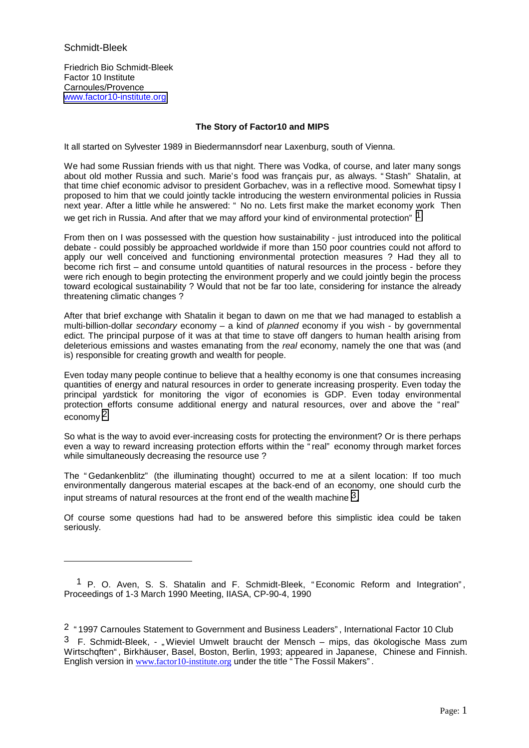# Schmidt-Bleek

 $\overline{a}$ 

Friedrich Bio Schmidt-Bleek Factor 10 Institute Carnoules/Provence [www.factor10-institute.org](http://www.factor10-institute.org/)

## **The Story of Factor10 and MIPS**

It all started on Sylvester 1989 in Biedermannsdorf near Laxenburg, south of Vienna.

We had some Russian friends with us that night. There was Vodka, of course, and later many songs about old mother Russia and such. Marie's food was français pur, as always. " Stash" Shatalin, at that time chief economic advisor to president Gorbachev, was in a reflective mood. Somewhat tipsy I proposed to him that we could jointly tackle introducing the western environmental policies in Russia next year. After a little while he answered: " No no. Lets first make the market economy work Then we get rich in Russia. And after that we may afford your kind of environmental protection" 1.

From then on I was possessed with the question how sustainability - just introduced into the political debate - could possibly be approached worldwide if more than 150 poor countries could not afford to apply our well conceived and functioning environmental protection measures ? Had they all to become rich first – and consume untold quantities of natural resources in the process - before they were rich enough to begin protecting the environment properly and we could jointly begin the process toward ecological sustainability ? Would that not be far too late, considering for instance the already threatening climatic changes ?

After that brief exchange with Shatalin it began to dawn on me that we had managed to establish a multi-billion-dollar *secondary* economy – a kind of *planned* economy if you wish - by governmental edict. The principal purpose of it was at that time to stave off dangers to human health arising from deleterious emissions and wastes emanating from the *real* economy, namely the one that was (and is) responsible for creating growth and wealth for people.

Even today many people continue to believe that a healthy economy is one that consumes increasing quantities of energy and natural resources in order to generate increasing prosperity. Even today the principal yardstick for monitoring the vigor of economies is GDP. Even today environmental protection efforts consume additional energy and natural resources, over and above the " real" economy 2.

So what is the way to avoid ever-increasing costs for protecting the environment? Or is there perhaps even a way to reward increasing protection efforts within the "real" economy through market forces while simultaneously decreasing the resource use?

The " Gedankenblitz" (the illuminating thought) occurred to me at a silent location: If too much environmentally dangerous material escapes at the back-end of an economy, one should curb the input streams of natural resources at the front end of the wealth machine  $3$ .

Of course some questions had had to be answered before this simplistic idea could be taken seriously.

<sup>&</sup>lt;sup>1</sup> P. O. Aven, S. S. Shatalin and F. Schmidt-Bleek, "Economic Reform and Integration", Proceedings of 1-3 March 1990 Meeting, IIASA, CP-90-4, 1990

<sup>&</sup>lt;sup>2</sup> "1997 Carnoules Statement to Government and Business Leaders", International Factor 10 Club  $3$  F. Schmidt-Bleek, - "Wieviel Umwelt braucht der Mensch – mips, das ökologische Mass zum Wirtschqften" , Birkhäuser, Basel, Boston, Berlin, 1993; appeared in Japanese, Chinese and Finnish. English version in www.factor10-institute.org under the title " The Fossil Makers" .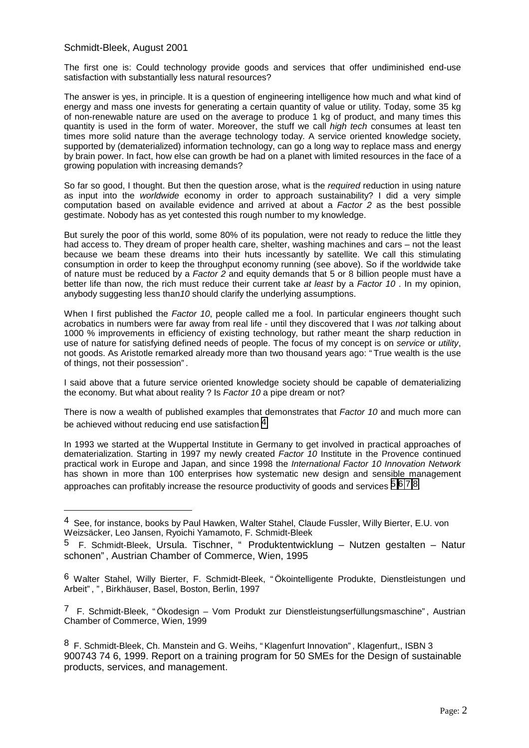$\overline{a}$ 

The first one is: Could technology provide goods and services that offer undiminished end-use satisfaction with substantially less natural resources?

The answer is yes, in principle. It is a question of engineering intelligence how much and what kind of energy and mass one invests for generating a certain quantity of value or utility. Today, some 35 kg of non-renewable nature are used on the average to produce 1 kg of product, and many times this quantity is used in the form of water. Moreover, the stuff we call *high tech* consumes at least ten times more solid nature than the average technology today. A service oriented knowledge society, supported by (dematerialized) information technology, can go a long way to replace mass and energy by brain power. In fact, how else can growth be had on a planet with limited resources in the face of a growing population with increasing demands?

So far so good, I thought. But then the question arose, what is the *required* reduction in using nature as input into the *worldwide* economy in order to approach sustainability? I did a very simple computation based on available evidence and arrived at about a *Factor 2* as the best possible gestimate. Nobody has as yet contested this rough number to my knowledge.

But surely the poor of this world, some 80% of its population, were not ready to reduce the little they had access to. They dream of proper health care, shelter, washing machines and cars – not the least because we beam these dreams into their huts incessantly by satellite. We call this stimulating consumption in order to keep the throughput economy running (see above). So if the worldwide take of nature must be reduced by a *Factor 2* and equity demands that 5 or 8 billion people must have a better life than now, the rich must reduce their current take *at least* by a *Factor 10* . In my opinion, anybody suggesting less than*10* should clarify the underlying assumptions.

When I first published the *Factor 10*, people called me a fool. In particular engineers thought such acrobatics in numbers were far away from real life - until they discovered that I was *not* talking about 1000 % improvements in efficiency of existing technology, but rather meant the sharp reduction in use of nature for satisfying defined needs of people. The focus of my concept is on *service* or *utility*, not goods. As Aristotle remarked already more than two thousand years ago: " True wealth is the use of things, not their possession" .

I said above that a future service oriented knowledge society should be capable of dematerializing the economy. But what about reality ? Is *Factor 10* a pipe dream or not?

There is now a wealth of published examples that demonstrates that *Factor 10* and much more can be achieved without reducing end use satisfaction 4.

In 1993 we started at the Wuppertal Institute in Germany to get involved in practical approaches of dematerialization. Starting in 1997 my newly created *Factor 10* Institute in the Provence continued practical work in Europe and Japan, and since 1998 the *International Factor 10 Innovation Network* has shown in more than 100 enterprises how systematic new design and sensible management approaches can profitably increase the resource productivity of goods and services 5 6 7 8.

<sup>4</sup> See, for instance, books by Paul Hawken, Walter Stahel, Claude Fussler, Willy Bierter, E.U. von Weizsäcker, Leo Jansen, Ryoichi Yamamoto, F. Schmidt-Bleek

 $5$  F. Schmidt-Bleek, Ursula. Tischner, " Produktentwicklung – Nutzen gestalten – Natur schonen" , Austrian Chamber of Commerce, Wien, 1995

<sup>6</sup> Walter Stahel, Willy Bierter, F. Schmidt-Bleek, " Ökointelligente Produkte, Dienstleistungen und Arbeit" , " , Birkhäuser, Basel, Boston, Berlin, 1997

<sup>7</sup> F. Schmidt-Bleek, " Ökodesign – Vom Produkt zur Dienstleistungserfüllungsmaschine" , Austrian Chamber of Commerce, Wien, 1999

<sup>8</sup> F. Schmidt-Bleek, Ch. Manstein and G. Weihs, "Klagenfurt Innovation", Klagenfurt,, ISBN 3 900743 74 6, 1999. Report on a training program for 50 SMEs for the Design of sustainable products, services, and management.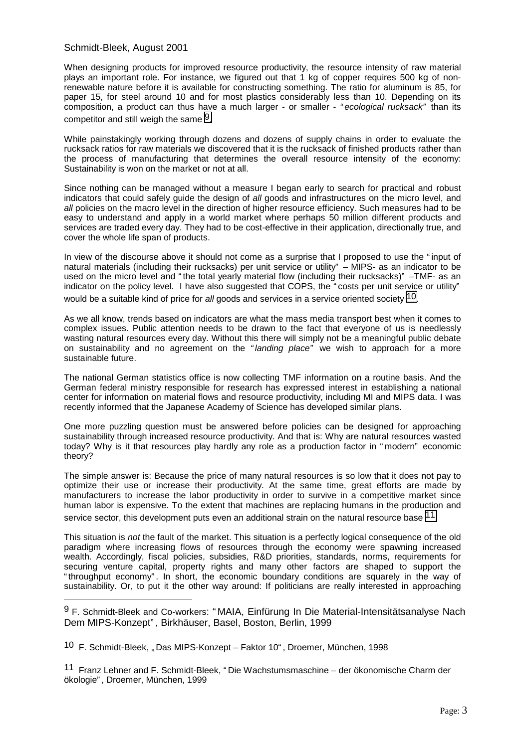When designing products for improved resource productivity, the resource intensity of raw material plays an important role. For instance, we figured out that 1 kg of copper requires 500 kg of nonrenewable nature before it is available for constructing something. The ratio for aluminum is 85, for paper 15, for steel around 10 and for most plastics considerably less than 10. Depending on its composition, a product can thus have a much larger - or smaller - *" ecological rucksack"* than its competitor and still weigh the same 9.

While painstakingly working through dozens and dozens of supply chains in order to evaluate the rucksack ratios for raw materials we discovered that it is the rucksack of finished products rather than the process of manufacturing that determines the overall resource intensity of the economy: Sustainability is won on the market or not at all.

Since nothing can be managed without a measure I began early to search for practical and robust indicators that could safely guide the design of *all* goods and infrastructures on the micro level, and *all* policies on the macro level in the direction of higher resource efficiency. Such measures had to be easy to understand and apply in a world market where perhaps 50 million different products and services are traded every day. They had to be cost-effective in their application, directionally true, and cover the whole life span of products.

In view of the discourse above it should not come as a surprise that I proposed to use the " input of natural materials (including their rucksacks) per unit service or utility" – MIPS- as an indicator to be used on the micro level and "the total yearly material flow (including their rucksacks)" –TMF- as an indicator on the policy level. I have also suggested that COPS, the " costs per unit service or utility" would be a suitable kind of price for *all* goods and services in a service oriented society 10.

As we all know, trends based on indicators are what the mass media transport best when it comes to complex issues. Public attention needs to be drawn to the fact that everyone of us is needlessly wasting natural resources every day. Without this there will simply not be a meaningful public debate on sustainability and no agreement on the *" landing place"* we wish to approach for a more sustainable future.

The national German statistics office is now collecting TMF information on a routine basis. And the German federal ministry responsible for research has expressed interest in establishing a national center for information on material flows and resource productivity, including MI and MIPS data. I was recently informed that the Japanese Academy of Science has developed similar plans.

One more puzzling question must be answered before policies can be designed for approaching sustainability through increased resource productivity. And that is: Why are natural resources wasted today? Why is it that resources play hardly any role as a production factor in " modern" economic theory?

The simple answer is: Because the price of many natural resources is so low that it does not pay to optimize their use or increase their productivity. At the same time, great efforts are made by manufacturers to increase the labor productivity in order to survive in a competitive market since human labor is expensive. To the extent that machines are replacing humans in the production and service sector, this development puts even an additional strain on the natural resource base 11.

This situation is *not* the fault of the market. This situation is a perfectly logical consequence of the old paradigm where increasing flows of resources through the economy were spawning increased wealth. Accordingly, fiscal policies, subsidies, R&D priorities, standards, norms, requirements for securing venture capital, property rights and many other factors are shaped to support the " throughput economy" . In short, the economic boundary conditions are squarely in the way of sustainability. Or, to put it the other way around: If politicians are really interested in approaching

9 F. Schmidt-Bleek and Co-workers: "MAIA, Einfürung In Die Material-Intensitätsanalyse Nach Dem MIPS-Konzept" , Birkhäuser, Basel, Boston, Berlin, 1999

10 F. Schmidt-Bleek, "Das MIPS-Konzept – Faktor 10", Droemer, München, 1998

 $\overline{a}$ 

11 Franz Lehner and F. Schmidt-Bleek, " Die Wachstumsmaschine – der ökonomische Charm der ökologie" , Droemer, München, 1999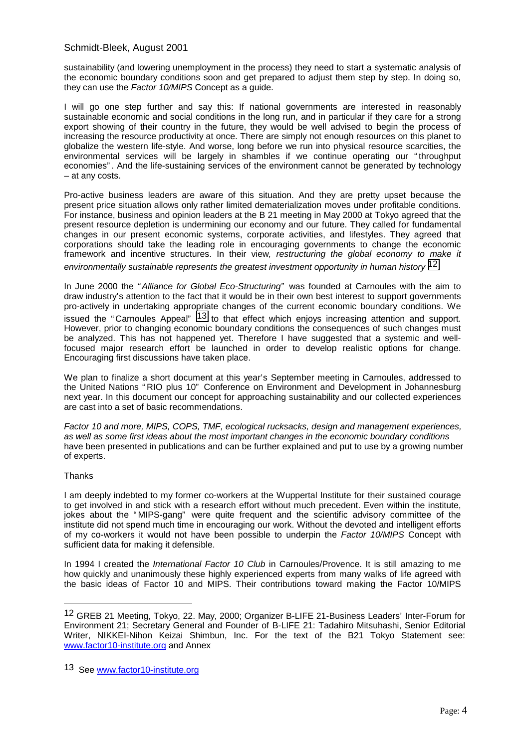sustainability (and lowering unemployment in the process) they need to start a systematic analysis of the economic boundary conditions soon and get prepared to adjust them step by step. In doing so, they can use the *Factor 10/MIPS* Concept as a guide.

I will go one step further and say this: If national governments are interested in reasonably sustainable economic and social conditions in the long run, and in particular if they care for a strong export showing of their country in the future, they would be well advised to begin the process of increasing the resource productivity at once. There are simply not enough resources on this planet to globalize the western life-style. And worse, long before we run into physical resource scarcities, the environmental services will be largely in shambles if we continue operating our " throughput economies" . And the life-sustaining services of the environment cannot be generated by technology – at any costs.

Pro-active business leaders are aware of this situation. And they are pretty upset because the present price situation allows only rather limited dematerialization moves under profitable conditions. For instance, business and opinion leaders at the B 21 meeting in May 2000 at Tokyo agreed that the present resource depletion is undermining our economy and our future. They called for fundamental changes in our present economic systems, corporate activities, and lifestyles. They agreed that corporations should take the leading role in encouraging governments to change the economic framework and incentive structures. In their view*, restructuring the global economy to make it*

*environmentally sustainable represents the greatest investment opportunity in human history* 12.

In June 2000 the *" Alliance for Global Eco-Structuring"* was founded at Carnoules with the aim to draw industry's attention to the fact that it would be in their own best interest to support governments pro-actively in undertaking appropriate changes of the current economic boundary conditions. We issued the "Carnoules Appeal" <sup>13</sup> to that effect which enjoys increasing attention and support. However, prior to changing economic boundary conditions the consequences of such changes must be analyzed. This has not happened yet. Therefore I have suggested that a systemic and wellfocused major research effort be launched in order to develop realistic options for change. Encouraging first discussions have taken place.

We plan to finalize a short document at this year's September meeting in Carnoules, addressed to the United Nations " RIO plus 10" Conference on Environment and Development in Johannesburg next year. In this document our concept for approaching sustainability and our collected experiences are cast into a set of basic recommendations.

*Factor 10 and more, MIPS, COPS, TMF, ecological rucksacks, design and management experiences, as well as some first ideas about the most important changes in the economic boundary conditions* have been presented in publications and can be further explained and put to use by a growing number of experts.

#### Thanks

 $\overline{a}$ 

I am deeply indebted to my former co-workers at the Wuppertal Institute for their sustained courage to get involved in and stick with a research effort without much precedent. Even within the institute, jokes about the " MIPS-gang" were quite frequent and the scientific advisory committee of the institute did not spend much time in encouraging our work. Without the devoted and intelligent efforts of my co-workers it would not have been possible to underpin the *Factor 10/MIPS* Concept with sufficient data for making it defensible.

In 1994 I created the *International Factor 10 Club* in Carnoules/Provence. It is still amazing to me how quickly and unanimously these highly experienced experts from many walks of life agreed with the basic ideas of Factor 10 and MIPS. Their contributions toward making the Factor 10/MIPS

<sup>12</sup> GREB 21 Meeting, Tokyo, 22. May, 2000; Organizer B-LIFE 21-Business Leaders' Inter-Forum for Environment 21; Secretary General and Founder of B-LIFE 21: Tadahiro Mitsuhashi, Senior Editorial Writer, NIKKEI-Nihon Keizai Shimbun, Inc. For the text of the B21 Tokyo Statement see: www.factor10-institute.org and Annex

<sup>13</sup> See www.factor10-institute.org